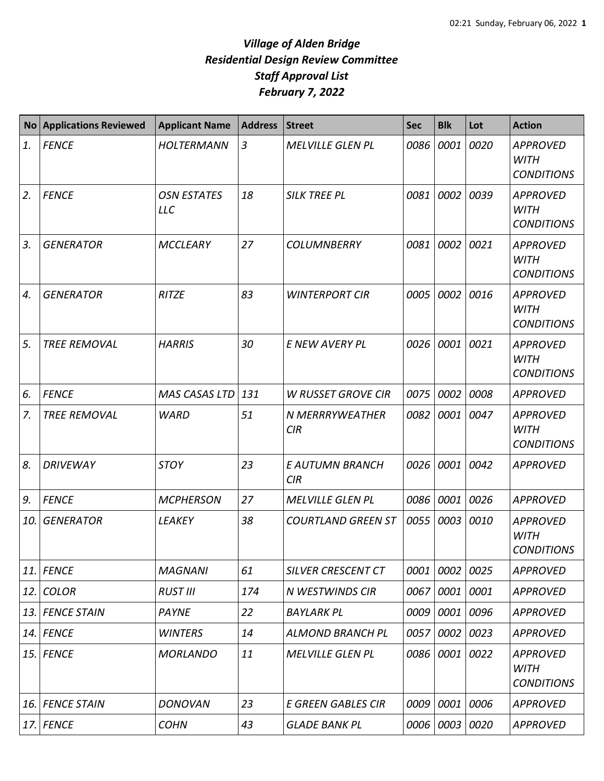| <b>No</b> | <b>Applications Reviewed</b> | <b>Applicant Name</b>            | <b>Address</b> | <b>Street</b>             | <b>Sec</b> | <b>Blk</b>     | Lot  | <b>Action</b>                                       |
|-----------|------------------------------|----------------------------------|----------------|---------------------------|------------|----------------|------|-----------------------------------------------------|
| 1.        | <b>FENCE</b>                 | HOLTERMANN                       | $\mathfrak{Z}$ | <b>MELVILLE GLEN PL</b>   | 0086       | 0001           | 0020 | <b>APPROVED</b><br><b>WITH</b><br><b>CONDITIONS</b> |
| 2.        | <b>FENCE</b>                 | <b>OSN ESTATES</b><br><b>LLC</b> | 18             | <b>SILK TREE PL</b>       | 0081       | 0002           | 0039 | <b>APPROVED</b><br><b>WITH</b><br><b>CONDITIONS</b> |
| 3.        | <b>GENERATOR</b>             | <b>MCCLEARY</b>                  | 27             | <b>COLUMNBERRY</b>        | 0081       | 0002           | 0021 | <b>APPROVED</b><br><b>WITH</b><br><b>CONDITIONS</b> |
| 4.        | <b>GENERATOR</b>             | <b>RITZE</b>                     | 83             | <b>WINTERPORT CIR</b>     | 0005       | 0002           | 0016 | <b>APPROVED</b><br><b>WITH</b><br><b>CONDITIONS</b> |
| 5.        | <b>TREE REMOVAL</b>          | <b>HARRIS</b>                    | 30             | E NEW AVERY PL            | 0026       | 0001           | 0021 | <b>APPROVED</b><br><b>WITH</b><br><b>CONDITIONS</b> |
| 6.        | <b>FENCE</b>                 | <b>MAS CASAS LTD</b>             | 131            | <b>W RUSSET GROVE CIR</b> | 0075       | 0002           | 0008 | <b>APPROVED</b>                                     |
| 7.        | <b>TREE REMOVAL</b>          | <b>WARD</b>                      | 51             | N MERRRYWEATHER<br>CIR    | 0082       | 0001           | 0047 | <b>APPROVED</b><br><b>WITH</b><br><b>CONDITIONS</b> |
| 8.        | <b>DRIVEWAY</b>              | <b>STOY</b>                      | 23             | E AUTUMN BRANCH<br>CIR    | 0026       | 0001           | 0042 | <b>APPROVED</b>                                     |
| 9.        | <b>FENCE</b>                 | <b>MCPHERSON</b>                 | 27             | <b>MELVILLE GLEN PL</b>   | 0086       | 0001           | 0026 | <b>APPROVED</b>                                     |
| 10.       | <b>GENERATOR</b>             | <b>LEAKEY</b>                    | 38             | <b>COURTLAND GREEN ST</b> | 0055       | 0003           | 0010 | <b>APPROVED</b><br><b>WITH</b><br><b>CONDITIONS</b> |
| 11.       | <b>FENCE</b>                 | <b>MAGNANI</b>                   | 61             | <b>SILVER CRESCENT CT</b> | 0001       | 0002           | 0025 | <b>APPROVED</b>                                     |
| 12.       | <b>COLOR</b>                 | <b>RUST III</b>                  | 174            | N WESTWINDS CIR           | 0067       | 0001 0001      |      | <b>APPROVED</b>                                     |
| 13.       | <b>FENCE STAIN</b>           | PAYNE                            | 22             | <b>BAYLARK PL</b>         | 0009       | 0001 0096      |      | <b>APPROVED</b>                                     |
| 14.       | <b>FENCE</b>                 | <b>WINTERS</b>                   | 14             | <b>ALMOND BRANCH PL</b>   | 0057       | 0002           | 0023 | <b>APPROVED</b>                                     |
| 15.       | <b>FENCE</b>                 | <b>MORLANDO</b>                  | 11             | <b>MELVILLE GLEN PL</b>   |            | 0086 0001 0022 |      | <b>APPROVED</b><br><b>WITH</b><br><b>CONDITIONS</b> |
| 16.       | <b>FENCE STAIN</b>           | <b>DONOVAN</b>                   | 23             | <b>E GREEN GABLES CIR</b> | 0009       | 0001           | 0006 | <b>APPROVED</b>                                     |
| 17.       | <b>FENCE</b>                 | <b>COHN</b>                      | 43             | <b>GLADE BANK PL</b>      | 0006       | 0003 0020      |      | <b>APPROVED</b>                                     |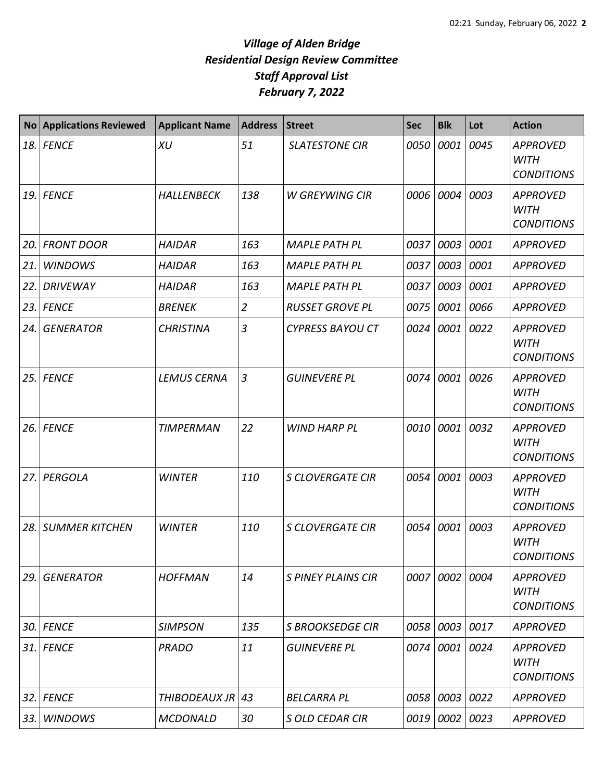| <b>No</b> | <b>Applications Reviewed</b> | <b>Applicant Name</b> | <b>Address</b> | <b>Street</b>             | <b>Sec</b> | <b>Blk</b>  | Lot  | <b>Action</b>                                       |
|-----------|------------------------------|-----------------------|----------------|---------------------------|------------|-------------|------|-----------------------------------------------------|
| 18.       | <b>FENCE</b>                 | <b>XU</b>             | 51             | <b>SLATESTONE CIR</b>     | 0050       | 0001        | 0045 | <b>APPROVED</b><br><b>WITH</b><br><b>CONDITIONS</b> |
| 19.       | <b>FENCE</b>                 | <b>HALLENBECK</b>     | 138            | <b>W GREYWING CIR</b>     | 0006       | 0004        | 0003 | <b>APPROVED</b><br><b>WITH</b><br><b>CONDITIONS</b> |
| 20.       | <b>FRONT DOOR</b>            | <b>HAIDAR</b>         | 163            | <b>MAPLE PATH PL</b>      | 0037       | 0003        | 0001 | <b>APPROVED</b>                                     |
| 21.       | <b>WINDOWS</b>               | <b>HAIDAR</b>         | 163            | <b>MAPLE PATH PL</b>      | 0037       | 0003        | 0001 | <b>APPROVED</b>                                     |
| 22.       | <b>DRIVEWAY</b>              | <b>HAIDAR</b>         | 163            | <b>MAPLE PATH PL</b>      | 0037       | 0003        | 0001 | <b>APPROVED</b>                                     |
| 23.       | <b>FENCE</b>                 | <b>BRENEK</b>         | $\overline{2}$ | <b>RUSSET GROVE PL</b>    | 0075       | 0001        | 0066 | <b>APPROVED</b>                                     |
| 24.       | <b>GENERATOR</b>             | <b>CHRISTINA</b>      | 3              | <b>CYPRESS BAYOU CT</b>   | 0024       | 0001        | 0022 | <b>APPROVED</b><br><b>WITH</b><br><b>CONDITIONS</b> |
| 25.       | <b>FENCE</b>                 | <b>LEMUS CERNA</b>    | 3              | <b>GUINEVERE PL</b>       | 0074       | 0001        | 0026 | <b>APPROVED</b><br><b>WITH</b><br><b>CONDITIONS</b> |
| 26.       | <b>FENCE</b>                 | <b>TIMPERMAN</b>      | 22             | <b>WIND HARP PL</b>       | 0010       | 0001        | 0032 | <b>APPROVED</b><br><b>WITH</b><br><b>CONDITIONS</b> |
| 27.       | PERGOLA                      | <b>WINTER</b>         | 110            | <b>S CLOVERGATE CIR</b>   | 0054       | 0001        | 0003 | <b>APPROVED</b><br><b>WITH</b><br><b>CONDITIONS</b> |
| 28.       | <b>SUMMER KITCHEN</b>        | <b>WINTER</b>         | 110            | <b>S CLOVERGATE CIR</b>   | 0054       | 0001        | 0003 | <b>APPROVED</b><br><b>WITH</b><br><b>CONDITIONS</b> |
| 29.       | <b>GENERATOR</b>             | <b>HOFFMAN</b>        | 14             | <b>S PINEY PLAINS CIR</b> | 0007       | 0002        | 0004 | <b>APPROVED</b><br><b>WITH</b><br><b>CONDITIONS</b> |
| 30.       | <b>FENCE</b>                 | <b>SIMPSON</b>        | 135            | <b>S BROOKSEDGE CIR</b>   | 0058       | 0003        | 0017 | <b>APPROVED</b>                                     |
|           | 31. FENCE                    | <b>PRADO</b>          | 11             | <b>GUINEVERE PL</b>       | 0074       | 0001 0024   |      | <b>APPROVED</b><br><b>WITH</b><br><b>CONDITIONS</b> |
| 32.       | <b>FENCE</b>                 | THIBODEAUX JR         | 43             | <b>BELCARRA PL</b>        | 0058       | 0003        | 0022 | <b>APPROVED</b>                                     |
| 33.       | <b>WINDOWS</b>               | <b>MCDONALD</b>       | 30             | <b>S OLD CEDAR CIR</b>    | 0019       | $0002$ 0023 |      | <b>APPROVED</b>                                     |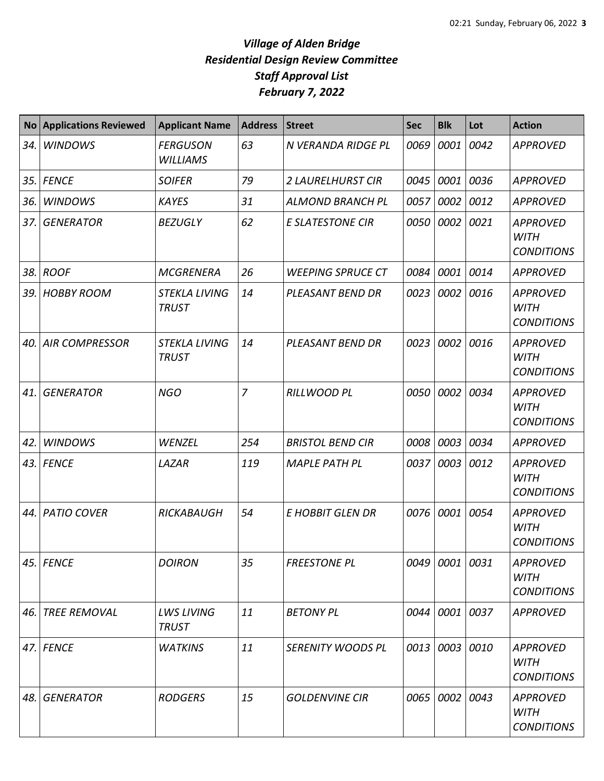| <b>No</b> | <b>Applications Reviewed</b> | <b>Applicant Name</b>                       | <b>Address</b> | <b>Street</b>            | <b>Sec</b> | <b>Blk</b>     | Lot  | <b>Action</b>                                       |
|-----------|------------------------------|---------------------------------------------|----------------|--------------------------|------------|----------------|------|-----------------------------------------------------|
| 34.       | <b>WINDOWS</b>               | <b>FERGUSON</b><br><b>WILLIAMS</b>          | 63             | N VERANDA RIDGE PL       | 0069       | 0001           | 0042 | <b>APPROVED</b>                                     |
| 35.       | <b>FENCE</b>                 | <b>SOIFER</b>                               | 79             | <b>2 LAURELHURST CIR</b> | 0045       | 0001           | 0036 | <b>APPROVED</b>                                     |
| 36.       | <b>WINDOWS</b>               | <b>KAYES</b>                                | 31             | <b>ALMOND BRANCH PL</b>  | 0057       | 0002           | 0012 | <b>APPROVED</b>                                     |
| 37.       | <b>GENERATOR</b>             | <b>BEZUGLY</b>                              | 62             | <b>E SLATESTONE CIR</b>  | 0050       | 0002           | 0021 | <b>APPROVED</b><br><b>WITH</b><br><b>CONDITIONS</b> |
| 38.       | <b>ROOF</b>                  | <b>MCGRENERA</b>                            | 26             | <b>WEEPING SPRUCE CT</b> | 0084       | 0001           | 0014 | <b>APPROVED</b>                                     |
| 39.       | <b>HOBBY ROOM</b>            | <i><b>STEKLA LIVING</b></i><br><b>TRUST</b> | 14             | PLEASANT BEND DR         | 0023       | 0002           | 0016 | <b>APPROVED</b><br><b>WITH</b><br><b>CONDITIONS</b> |
| 40.       | <b>AIR COMPRESSOR</b>        | <b>STEKLA LIVING</b><br><b>TRUST</b>        | 14             | PLEASANT BEND DR         | 0023       | 0002           | 0016 | <b>APPROVED</b><br><b>WITH</b><br><b>CONDITIONS</b> |
| 41.       | <b>GENERATOR</b>             | <b>NGO</b>                                  | $\overline{7}$ | <b>RILLWOOD PL</b>       | 0050       | 0002           | 0034 | <b>APPROVED</b><br><b>WITH</b><br><b>CONDITIONS</b> |
| 42.       | <b>WINDOWS</b>               | WENZEL                                      | 254            | <b>BRISTOL BEND CIR</b>  | 0008       | 0003           | 0034 | <b>APPROVED</b>                                     |
| 43.       | <b>FENCE</b>                 | LAZAR                                       | 119            | <b>MAPLE PATH PL</b>     | 0037       | 0003           | 0012 | <b>APPROVED</b><br><b>WITH</b><br><b>CONDITIONS</b> |
| 44.       | <b>PATIO COVER</b>           | RICKABAUGH                                  | 54             | <b>E HOBBIT GLEN DR</b>  | 0076       | 0001           | 0054 | <b>APPROVED</b><br><b>WITH</b><br><b>CONDITIONS</b> |
|           | 45. FENCE                    | <b>DOIRON</b>                               | 35             | <b>FREESTONE PL</b>      |            | 0049 0001 0031 |      | <b>APPROVED</b><br><b>WITH</b><br><b>CONDITIONS</b> |
| 46.       | <b>TREE REMOVAL</b>          | <b>LWS LIVING</b><br><b>TRUST</b>           | 11             | <b>BETONY PL</b>         | 0044       | 0001 0037      |      | APPROVED                                            |
| 47.       | <b>FENCE</b>                 | <b>WATKINS</b>                              | 11             | SERENITY WOODS PL        | 0013       | 0003 0010      |      | <b>APPROVED</b><br><b>WITH</b><br><b>CONDITIONS</b> |
| 48.       | <b>GENERATOR</b>             | <b>RODGERS</b>                              | 15             | <b>GOLDENVINE CIR</b>    | 0065       | 0002 0043      |      | <b>APPROVED</b><br><b>WITH</b><br><b>CONDITIONS</b> |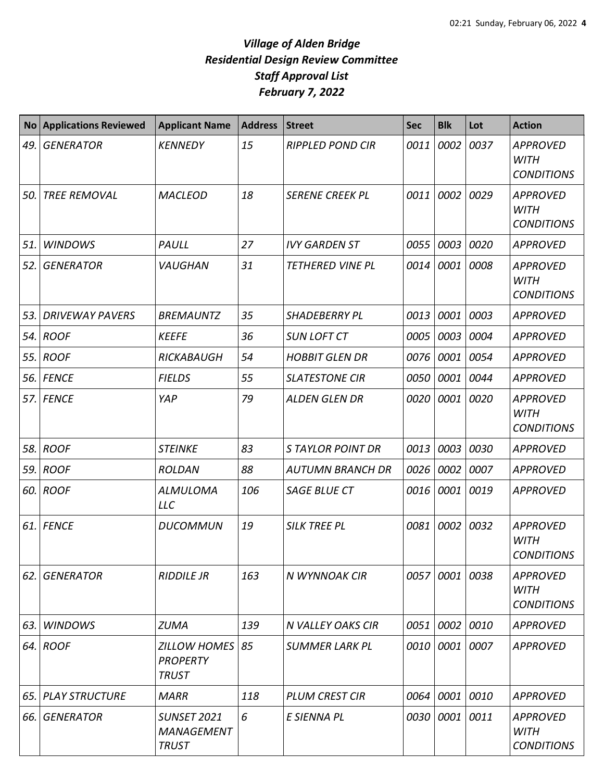| <b>No</b> | <b>Applications Reviewed</b> | <b>Applicant Name</b>                                   | <b>Address</b> | <b>Street</b>            | <b>Sec</b> | <b>Blk</b> | Lot  | <b>Action</b>                                       |
|-----------|------------------------------|---------------------------------------------------------|----------------|--------------------------|------------|------------|------|-----------------------------------------------------|
| 49.       | <b>GENERATOR</b>             | <b>KENNEDY</b>                                          | 15             | <b>RIPPLED POND CIR</b>  | 0011       | 0002       | 0037 | <b>APPROVED</b><br><b>WITH</b><br><b>CONDITIONS</b> |
| 50.       | <b>TREE REMOVAL</b>          | <b>MACLEOD</b>                                          | 18             | <b>SERENE CREEK PL</b>   | 0011       | 0002       | 0029 | <b>APPROVED</b><br><b>WITH</b><br><b>CONDITIONS</b> |
| 51.       | <b>WINDOWS</b>               | PAULL                                                   | 27             | <b>IVY GARDEN ST</b>     | 0055       | 0003       | 0020 | <b>APPROVED</b>                                     |
| 52.       | <b>GENERATOR</b>             | VAUGHAN                                                 | 31             | <b>TETHERED VINE PL</b>  | 0014       | 0001       | 0008 | <b>APPROVED</b><br><b>WITH</b><br><b>CONDITIONS</b> |
| 53.1      | <b>DRIVEWAY PAVERS</b>       | <b>BREMAUNTZ</b>                                        | 35             | <b>SHADEBERRY PL</b>     | 0013       | 0001       | 0003 | <b>APPROVED</b>                                     |
|           | 54. ROOF                     | <b>KEEFE</b>                                            | 36             | <b>SUN LOFT CT</b>       | 0005       | 0003       | 0004 | <b>APPROVED</b>                                     |
|           | 55. ROOF                     | RICKABAUGH                                              | 54             | <b>HOBBIT GLEN DR</b>    | 0076       | 0001       | 0054 | <b>APPROVED</b>                                     |
|           | <b>56. FENCE</b>             | <b>FIELDS</b>                                           | 55             | <b>SLATESTONE CIR</b>    | 0050       | 0001       | 0044 | <b>APPROVED</b>                                     |
|           | <b>57. FENCE</b>             | YAP                                                     | 79             | <b>ALDEN GLEN DR</b>     | 0020       | 0001       | 0020 | <b>APPROVED</b><br><b>WITH</b><br><b>CONDITIONS</b> |
|           | 58. ROOF                     | <b>STEINKE</b>                                          | 83             | <b>STAYLOR POINT DR</b>  | 0013       | 0003       | 0030 | <b>APPROVED</b>                                     |
|           | 59. ROOF                     | <b>ROLDAN</b>                                           | 88             | <b>AUTUMN BRANCH DR</b>  | 0026       | 0002       | 0007 | <b>APPROVED</b>                                     |
|           | 60. ROOF                     | <b>ALMULOMA</b><br><b>LLC</b>                           | 106            | <b>SAGE BLUE CT</b>      | 0016       | 0001       | 0019 | <b>APPROVED</b>                                     |
|           | 61. FENCE                    | <b>DUCOMMUN</b>                                         | 19             | <b>SILK TREE PL</b>      | 0081       | 0002       | 0032 | <b>APPROVED</b><br><b>WITH</b><br><b>CONDITIONS</b> |
| 62.       | <b>GENERATOR</b>             | <b>RIDDILE JR</b>                                       | 163            | N WYNNOAK CIR            | 0057       | 0001       | 0038 | <b>APPROVED</b><br><b>WITH</b><br><b>CONDITIONS</b> |
| 63.       | <b>WINDOWS</b>               | <b>ZUMA</b>                                             | 139            | <b>N VALLEY OAKS CIR</b> | 0051       | 0002 0010  |      | <b>APPROVED</b>                                     |
|           | 64. ROOF                     | <b>ZILLOW HOMES</b><br><b>PROPERTY</b><br><b>TRUST</b>  | 85             | <b>SUMMER LARK PL</b>    | 0010       | 0001       | 0007 | <b>APPROVED</b>                                     |
|           | 65. PLAY STRUCTURE           | <b>MARR</b>                                             | 118            | <b>PLUM CREST CIR</b>    | 0064       | 0001       | 0010 | <b>APPROVED</b>                                     |
| 66.       | <b>GENERATOR</b>             | <b>SUNSET 2021</b><br><b>MANAGEMENT</b><br><b>TRUST</b> | 6              | E SIENNA PL              | 0030       | 0001 0011  |      | <b>APPROVED</b><br><b>WITH</b><br><b>CONDITIONS</b> |